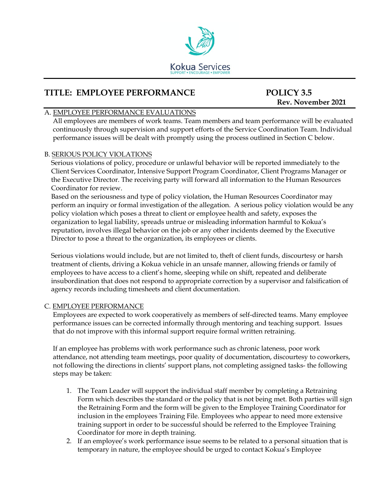

# **TITLE: EMPLOYEE PERFORMANCE POLICY 3.5**

# **Rev. November 2021**

# A. EMPLOYEE PERFORMANCE EVALUATIONS

All employees are members of work teams. Team members and team performance will be evaluated continuously through supervision and support efforts of the Service Coordination Team. Individual performance issues will be dealt with promptly using the process outlined in Section C below.

#### B. SERIOUS POLICY VIOLATIONS

Serious violations of policy, procedure or unlawful behavior will be reported immediately to the Client Services Coordinator, Intensive Support Program Coordinator, Client Programs Manager or the Executive Director. The receiving party will forward all information to the Human Resources Coordinator for review.

Based on the seriousness and type of policy violation, the Human Resources Coordinator may perform an inquiry or formal investigation of the allegation. A serious policy violation would be any policy violation which poses a threat to client or employee health and safety, exposes the organization to legal liability, spreads untrue or misleading information harmful to Kokua's reputation, involves illegal behavior on the job or any other incidents deemed by the Executive Director to pose a threat to the organization, its employees or clients.

Serious violations would include, but are not limited to, theft of client funds, discourtesy or harsh treatment of clients, driving a Kokua vehicle in an unsafe manner, allowing friends or family of employees to have access to a client's home, sleeping while on shift, repeated and deliberate insubordination that does not respond to appropriate correction by a supervisor and falsification of agency records including timesheets and client documentation.

# C. EMPLOYEE PERFORMANCE

Employees are expected to work cooperatively as members of self-directed teams. Many employee performance issues can be corrected informally through mentoring and teaching support. Issues that do not improve with this informal support require formal written retraining.

If an employee has problems with work performance such as chronic lateness, poor work attendance, not attending team meetings, poor quality of documentation, discourtesy to coworkers, not following the directions in clients' support plans, not completing assigned tasks- the following steps may be taken:

- 1. The Team Leader will support the individual staff member by completing a Retraining Form which describes the standard or the policy that is not being met. Both parties will sign the Retraining Form and the form will be given to the Employee Training Coordinator for inclusion in the employees Training File. Employees who appear to need more extensive training support in order to be successful should be referred to the Employee Training Coordinator for more in depth training.
- 2. If an employee's work performance issue seems to be related to a personal situation that is temporary in nature, the employee should be urged to contact Kokua's Employee